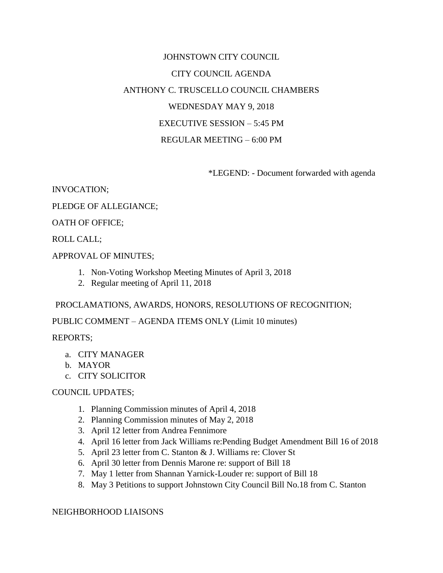# JOHNSTOWN CITY COUNCIL CITY COUNCIL AGENDA ANTHONY C. TRUSCELLO COUNCIL CHAMBERS WEDNESDAY MAY 9, 2018 EXECUTIVE SESSION – 5:45 PM REGULAR MEETING – 6:00 PM

\*LEGEND: - Document forwarded with agenda

INVOCATION;

PLEDGE OF ALLEGIANCE;

OATH OF OFFICE;

ROLL CALL;

APPROVAL OF MINUTES;

- 1. Non-Voting Workshop Meeting Minutes of April 3, 2018
- 2. Regular meeting of April 11, 2018

PROCLAMATIONS, AWARDS, HONORS, RESOLUTIONS OF RECOGNITION;

PUBLIC COMMENT – AGENDA ITEMS ONLY (Limit 10 minutes)

REPORTS;

- a. CITY MANAGER
- b. MAYOR
- c. CITY SOLICITOR

#### COUNCIL UPDATES;

- 1. Planning Commission minutes of April 4, 2018
- 2. Planning Commission minutes of May 2, 2018
- 3. April 12 letter from Andrea Fennimore
- 4. April 16 letter from Jack Williams re:Pending Budget Amendment Bill 16 of 2018
- 5. April 23 letter from C. Stanton & J. Williams re: Clover St
- 6. April 30 letter from Dennis Marone re: support of Bill 18
- 7. May 1 letter from Shannan Yarnick-Louder re: support of Bill 18
- 8. May 3 Petitions to support Johnstown City Council Bill No.18 from C. Stanton

NEIGHBORHOOD LIAISONS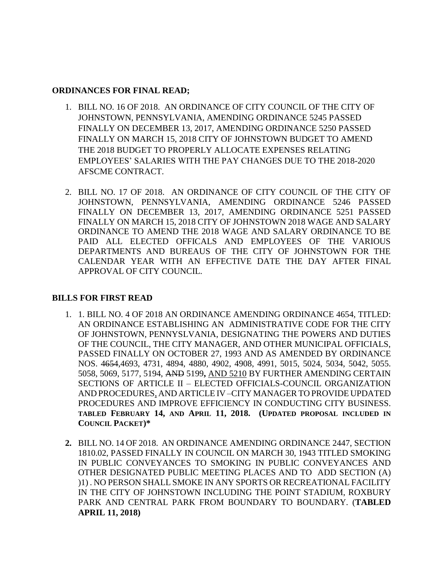#### **ORDINANCES FOR FINAL READ;**

- 1. BILL NO. 16 OF 2018. AN ORDINANCE OF CITY COUNCIL OF THE CITY OF JOHNSTOWN, PENNSYLVANIA, AMENDING ORDINANCE 5245 PASSED FINALLY ON DECEMBER 13, 2017, AMENDING ORDINANCE 5250 PASSED FINALLY ON MARCH 15, 2018 CITY OF JOHNSTOWN BUDGET TO AMEND THE 2018 BUDGET TO PROPERLY ALLOCATE EXPENSES RELATING EMPLOYEES' SALARIES WITH THE PAY CHANGES DUE TO THE 2018-2020 AFSCME CONTRACT.
- 2. BILL NO. 17 OF 2018. AN ORDINANCE OF CITY COUNCIL OF THE CITY OF JOHNSTOWN, PENNSYLVANIA, AMENDING ORDINANCE 5246 PASSED FINALLY ON DECEMBER 13, 2017, AMENDING ORDINANCE 5251 PASSED FINALLY ON MARCH 15, 2018 CITY OF JOHNSTOWN 2018 WAGE AND SALARY ORDINANCE TO AMEND THE 2018 WAGE AND SALARY ORDINANCE TO BE PAID ALL ELECTED OFFICALS AND EMPLOYEES OF THE VARIOUS DEPARTMENTS AND BUREAUS OF THE CITY OF JOHNSTOWN FOR THE CALENDAR YEAR WITH AN EFFECTIVE DATE THE DAY AFTER FINAL APPROVAL OF CITY COUNCIL.

## **BILLS FOR FIRST READ**

- 1. 1. BILL NO. 4 OF 2018 AN ORDINANCE AMENDING ORDINANCE 4654, TITLED: AN ORDINANCE ESTABLISHING AN ADMINISTRATIVE CODE FOR THE CITY OF JOHNSTOWN, PENNYSLVANIA, DESIGNATING THE POWERS AND DUTIES OF THE COUNCIL, THE CITY MANAGER, AND OTHER MUNICIPAL OFFICIALS, PASSED FINALLY ON OCTOBER 27, 1993 AND AS AMENDED BY ORDINANCE NOS. 4654,4693, 4731, 4894, 4880, 4902, 4908, 4991, 5015, 5024, 5034, 5042, 5055. 5058, 5069, 5177, 5194, AND 5199**,** AND 5210 BY FURTHER AMENDING CERTAIN SECTIONS OF ARTICLE II – ELECTED OFFICIALS-COUNCIL ORGANIZATION AND PROCEDURES, AND ARTICLE IV –CITY MANAGERTO PROVIDE UPDATED PROCEDURES AND IMPROVE EFFICIENCY IN CONDUCTING CITY BUSINESS. **TABLED FEBRUARY 14, AND APRIL 11, 2018. (UPDATED PROPOSAL INCLUDED IN COUNCIL PACKET)\***
- **2.** BILL NO. 14 OF 2018.AN ORDINANCE AMENDING ORDINANCE 2447, SECTION 1810.02, PASSED FINALLY IN COUNCIL ON MARCH 30, 1943 TITLED SMOKING IN PUBLIC CONVEYANCES TO SMOKING IN PUBLIC CONVEYANCES AND OTHER DESIGNATED PUBLIC MEETING PLACES AND TO ADD SECTION (A) )1) . NO PERSON SHALL SMOKE IN ANY SPORTS OR RECREATIONAL FACILITY IN THE CITY OF JOHNSTOWN INCLUDING THE POINT STADIUM, ROXBURY PARK AND CENTRAL PARK FROM BOUNDARY TO BOUNDARY. (**TABLED APRIL 11, 2018)**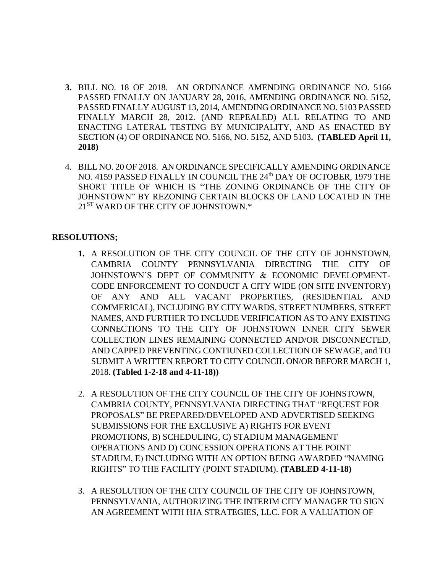- **3.** BILL NO. 18 OF 2018. AN ORDINANCE AMENDING ORDINANCE NO. 5166 PASSED FINALLY ON JANUARY 28, 2016, AMENDING ORDINANCE NO. 5152, PASSED FINALLY AUGUST 13, 2014, AMENDING ORDINANCE NO. 5103 PASSED FINALLY MARCH 28, 2012. (AND REPEALED) ALL RELATING TO AND ENACTING LATERAL TESTING BY MUNICIPALITY, AND AS ENACTED BY SECTION (4) OF ORDINANCE NO. 5166, NO. 5152, AND 5103**. (TABLED April 11, 2018)**
- 4. BILL NO. 20 OF 2018. AN ORDINANCE SPECIFICALLY AMENDING ORDINANCE NO. 4159 PASSED FINALLY IN COUNCIL THE 24th DAY OF OCTOBER, 1979 THE SHORT TITLE OF WHICH IS "THE ZONING ORDINANCE OF THE CITY OF JOHNSTOWN" BY REZONING CERTAIN BLOCKS OF LAND LOCATED IN THE 21<sup>ST</sup> WARD OF THE CITY OF JOHNSTOWN.\*

## **RESOLUTIONS;**

- **1.** A RESOLUTION OF THE CITY COUNCIL OF THE CITY OF JOHNSTOWN, CAMBRIA COUNTY PENNSYLVANIA DIRECTING THE CITY OF JOHNSTOWN'S DEPT OF COMMUNITY & ECONOMIC DEVELOPMENT-CODE ENFORCEMENT TO CONDUCT A CITY WIDE (ON SITE INVENTORY) OF ANY AND ALL VACANT PROPERTIES, (RESIDENTIAL AND COMMERICAL), INCLUDING BY CITY WARDS, STREET NUMBERS, STREET NAMES, AND FURTHER TO INCLUDE VERIFICATION AS TO ANY EXISTING CONNECTIONS TO THE CITY OF JOHNSTOWN INNER CITY SEWER COLLECTION LINES REMAINING CONNECTED AND/OR DISCONNECTED, AND CAPPED PREVENTING CONTIUNED COLLECTION OF SEWAGE, and TO SUBMIT A WRITTEN REPORT TO CITY COUNCIL ON/OR BEFORE MARCH 1, 2018. **(Tabled 1-2-18 and 4-11-18))**
- 2. A RESOLUTION OF THE CITY COUNCIL OF THE CITY OF JOHNSTOWN, CAMBRIA COUNTY, PENNSYLVANIA DIRECTING THAT "REQUEST FOR PROPOSALS" BE PREPARED/DEVELOPED AND ADVERTISED SEEKING SUBMISSIONS FOR THE EXCLUSIVE A) RIGHTS FOR EVENT PROMOTIONS, B) SCHEDULING, C) STADIUM MANAGEMENT OPERATIONS AND D) CONCESSION OPERATIONS AT THE POINT STADIUM, E) INCLUDING WITH AN OPTION BEING AWARDED "NAMING RIGHTS" TO THE FACILITY (POINT STADIUM). **(TABLED 4-11-18)**
- 3. A RESOLUTION OF THE CITY COUNCIL OF THE CITY OF JOHNSTOWN, PENNSYLVANIA, AUTHORIZING THE INTERIM CITY MANAGER TO SIGN AN AGREEMENT WITH HJA STRATEGIES, LLC. FOR A VALUATION OF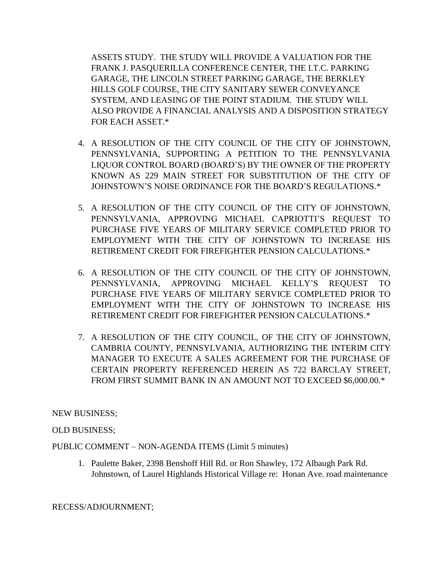ASSETS STUDY. THE STUDY WILL PROVIDE A VALUATION FOR THE FRANK J. PASQUERILLA CONFERENCE CENTER, THE I.T.C. PARKING GARAGE, THE LINCOLN STREET PARKING GARAGE, THE BERKLEY HILLS GOLF COURSE, THE CITY SANITARY SEWER CONVEYANCE SYSTEM, AND LEASING OF THE POINT STADIUM. THE STUDY WILL ALSO PROVIDE A FINANCIAL ANALYSIS AND A DISPOSITION STRATEGY FOR EACH ASSET.\*

- 4. A RESOLUTION OF THE CITY COUNCIL OF THE CITY OF JOHNSTOWN, PENNSYLVANIA, SUPPORTING A PETITION TO THE PENNSYLVANIA LIQUOR CONTROL BOARD (BOARD'S) BY THE OWNER OF THE PROPERTY KNOWN AS 229 MAIN STREET FOR SUBSTITUTION OF THE CITY OF JOHNSTOWN'S NOISE ORDINANCE FOR THE BOARD'S REGULATIONS.\*
- 5. A RESOLUTION OF THE CITY COUNCIL OF THE CITY OF JOHNSTOWN, PENNSYLVANIA, APPROVING MICHAEL CAPRIOTTI'S REQUEST TO PURCHASE FIVE YEARS OF MILITARY SERVICE COMPLETED PRIOR TO EMPLOYMENT WITH THE CITY OF JOHNSTOWN TO INCREASE HIS RETIREMENT CREDIT FOR FIREFIGHTER PENSION CALCULATIONS.\*
- 6. A RESOLUTION OF THE CITY COUNCIL OF THE CITY OF JOHNSTOWN, PENNSYLVANIA, APPROVING MICHAEL KELLY'S REQUEST TO PURCHASE FIVE YEARS OF MILITARY SERVICE COMPLETED PRIOR TO EMPLOYMENT WITH THE CITY OF JOHNSTOWN TO INCREASE HIS RETIREMENT CREDIT FOR FIREFIGHTER PENSION CALCULATIONS.\*
- 7. A RESOLUTION OF THE CITY COUNCIL, OF THE CITY OF JOHNSTOWN, CAMBRIA COUNTY, PENNSYLVANIA, AUTHORIZING THE INTERIM CITY MANAGER TO EXECUTE A SALES AGREEMENT FOR THE PURCHASE OF CERTAIN PROPERTY REFERENCED HEREIN AS 722 BARCLAY STREET, FROM FIRST SUMMIT BANK IN AN AMOUNT NOT TO EXCEED \$6,000.00.\*

## NEW BUSINESS;

## OLD BUSINESS;

PUBLIC COMMENT – NON-AGENDA ITEMS (Limit 5 minutes)

1. Paulette Baker, 2398 Benshoff Hill Rd. or Ron Shawley, 172 Albaugh Park Rd. Johnstown, of Laurel Highlands Historical Village re: Honan Ave. road maintenance

## RECESS/ADJOURNMENT;